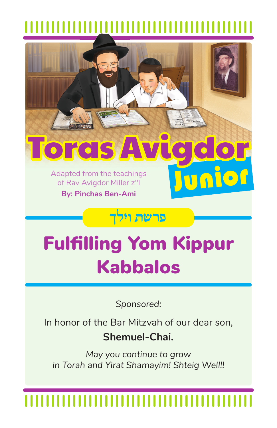

# Fulfilling Yom Kippur Kabbalos

*Sponsored:*

In honor of the Bar Mitzvah of our dear son, **Shemuel-Chai.**

*May you continue to grow in Torah and Yirat Shamayim! Shteig Well!!*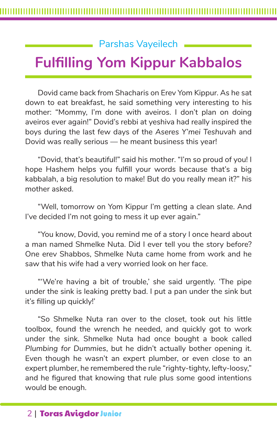### Parshas Vayeilech

## **Fulfilling Yom Kippur Kabbalos**

Dovid came back from Shacharis on Erev Yom Kippur. As he sat down to eat breakfast, he said something very interesting to his mother: "Mommy, I'm done with aveiros. I don't plan on doing aveiros ever again!" Dovid's rebbi at yeshiva had really inspired the boys during the last few days of the Aseres Y'mei Teshuvah and Dovid was really serious — he meant business this year!

"Dovid, that's beautiful!" said his mother. "I'm so proud of you! I hope Hashem helps you fulfill your words because that's a big kabbalah, a big resolution to make! But do you really mean it?" his mother asked.

"Well, tomorrow on Yom Kippur I'm getting a clean slate. And I've decided I'm not going to mess it up ever again."

"You know, Dovid, you remind me of a story I once heard about a man named Shmelke Nuta. Did I ever tell you the story before? One erev Shabbos, Shmelke Nuta came home from work and he saw that his wife had a very worried look on her face.

"'We're having a bit of trouble,' she said urgently. 'The pipe under the sink is leaking pretty bad. I put a pan under the sink but it's filling up quickly!'

"So Shmelke Nuta ran over to the closet, took out his little toolbox, found the wrench he needed, and quickly got to work under the sink. Shmelke Nuta had once bought a book called *Plumbing for Dummies*, but he didn't actually bother opening it. Even though he wasn't an expert plumber, or even close to an expert plumber, he remembered the rule "righty-tighty, lefty-loosy," and he figured that knowing that rule plus some good intentions would be enough.

### 2 | Toras Avigdor Junior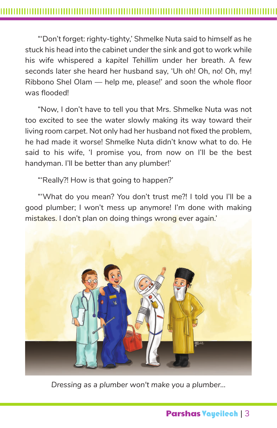"'Don't forget: righty-tighty,' Shmelke Nuta said to himself as he stuck his head into the cabinet under the sink and got to work while his wife whispered a *kapitel Tehillim* under her breath. A few seconds later she heard her husband say, 'Uh oh! Oh, no! Oh, my! Ribbono Shel Olam — help me, please!' and soon the whole floor was flooded!

"Now, I don't have to tell you that Mrs. Shmelke Nuta was not too excited to see the water slowly making its way toward their living room carpet. Not only had her husband not fixed the problem, he had made it worse! Shmelke Nuta didn't know what to do. He said to his wife, 'I promise you, from now on I'll be the best handyman. I'll be better than any plumber!'

"'Really?! How is that going to happen?'

"'What do you mean? You don't trust me?! I told you I'll be a good plumber; I won't mess up anymore! I'm done with making mistakes. I don't plan on doing things wrong ever again.'



*Dressing as a plumber won't make you a plumber...*